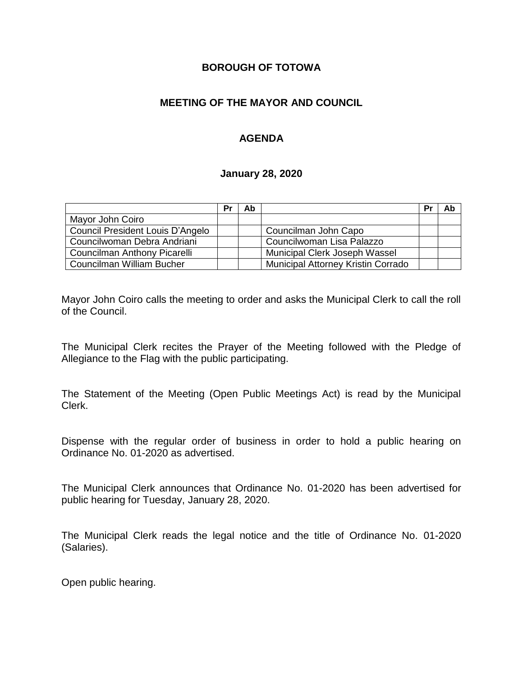#### **BOROUGH OF TOTOWA**

## **MEETING OF THE MAYOR AND COUNCIL**

## **AGENDA**

#### **January 28, 2020**

|                                  | Pr | Ab |                                    | Pr | Ab |
|----------------------------------|----|----|------------------------------------|----|----|
| Mayor John Coiro                 |    |    |                                    |    |    |
| Council President Louis D'Angelo |    |    | Councilman John Capo               |    |    |
| Councilwoman Debra Andriani      |    |    | Councilwoman Lisa Palazzo          |    |    |
| Councilman Anthony Picarelli     |    |    | Municipal Clerk Joseph Wassel      |    |    |
| Councilman William Bucher        |    |    | Municipal Attorney Kristin Corrado |    |    |

Mayor John Coiro calls the meeting to order and asks the Municipal Clerk to call the roll of the Council.

The Municipal Clerk recites the Prayer of the Meeting followed with the Pledge of Allegiance to the Flag with the public participating.

The Statement of the Meeting (Open Public Meetings Act) is read by the Municipal Clerk.

Dispense with the regular order of business in order to hold a public hearing on Ordinance No. 01-2020 as advertised.

The Municipal Clerk announces that Ordinance No. 01-2020 has been advertised for public hearing for Tuesday, January 28, 2020.

The Municipal Clerk reads the legal notice and the title of Ordinance No. 01-2020 (Salaries).

Open public hearing.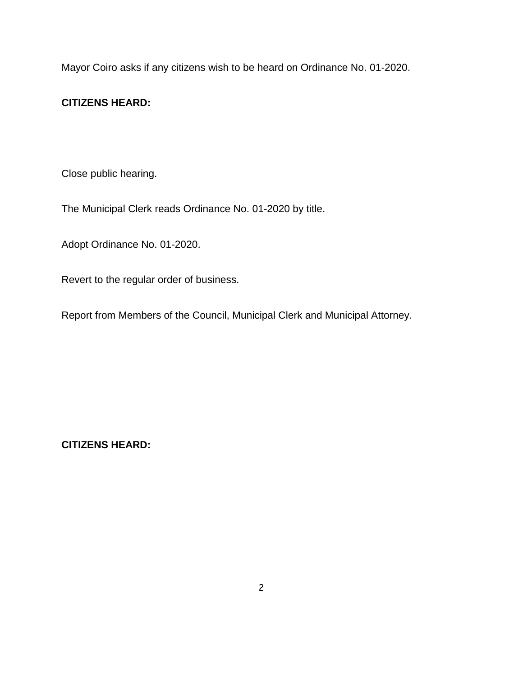Mayor Coiro asks if any citizens wish to be heard on Ordinance No. 01-2020.

# **CITIZENS HEARD:**

Close public hearing.

The Municipal Clerk reads Ordinance No. 01-2020 by title.

Adopt Ordinance No. 01-2020.

Revert to the regular order of business.

Report from Members of the Council, Municipal Clerk and Municipal Attorney.

**CITIZENS HEARD:**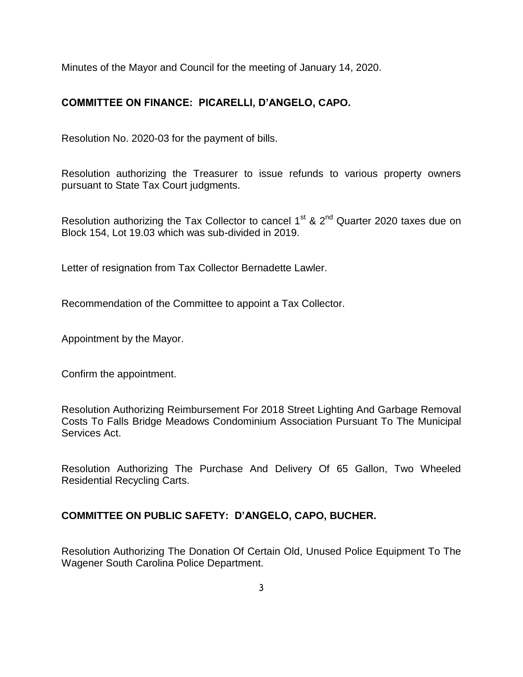Minutes of the Mayor and Council for the meeting of January 14, 2020.

# **COMMITTEE ON FINANCE: PICARELLI, D'ANGELO, CAPO.**

Resolution No. 2020-03 for the payment of bills.

Resolution authorizing the Treasurer to issue refunds to various property owners pursuant to State Tax Court judgments.

Resolution authorizing the Tax Collector to cancel  $1<sup>st</sup>$  &  $2<sup>nd</sup>$  Quarter 2020 taxes due on Block 154, Lot 19.03 which was sub-divided in 2019.

Letter of resignation from Tax Collector Bernadette Lawler.

Recommendation of the Committee to appoint a Tax Collector.

Appointment by the Mayor.

Confirm the appointment.

Resolution Authorizing Reimbursement For 2018 Street Lighting And Garbage Removal Costs To Falls Bridge Meadows Condominium Association Pursuant To The Municipal Services Act.

Resolution Authorizing The Purchase And Delivery Of 65 Gallon, Two Wheeled Residential Recycling Carts.

# **COMMITTEE ON PUBLIC SAFETY: D'ANGELO, CAPO, BUCHER.**

Resolution Authorizing The Donation Of Certain Old, Unused Police Equipment To The Wagener South Carolina Police Department.